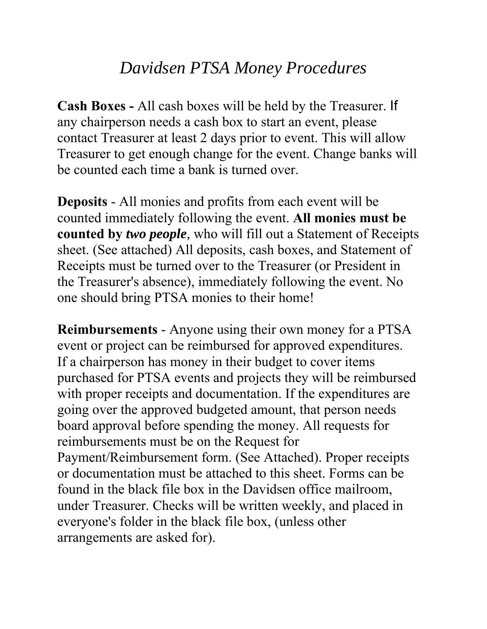## *Davidsen PTSA Money Procedures*

**Cash Boxes -** All cash boxes will be held by the Treasurer. If any chairperson needs a cash box to start an event, please contact Treasurer at least 2 days prior to event. This will allow Treasurer to get enough change for the event. Change banks will be counted each time a bank is turned over.

**Deposits** - All monies and profits from each event will be counted immediately following the event. **All monies must be counted by** *two people,* who will fill out a Statement of Receipts sheet. (See attached) All deposits, cash boxes, and Statement of Receipts must be turned over to the Treasurer (or President in the Treasurer's absence), immediately following the event. No one should bring PTSA monies to their home!

**Reimbursements** - Anyone using their own money for a PTSA event or project can be reimbursed for approved expenditures. If a chairperson has money in their budget to cover items purchased for PTSA events and projects they will be reimbursed with proper receipts and documentation. If the expenditures are going over the approved budgeted amount, that person needs board approval before spending the money. All requests for reimbursements must be on the Request for Payment/Reimbursement form. (See Attached). Proper receipts or documentation must be attached to this sheet. Forms can be found in the black file box in the Davidsen office mailroom, under Treasurer. Checks will be written weekly, and placed in everyone's folder in the black file box, (unless other arrangements are asked for).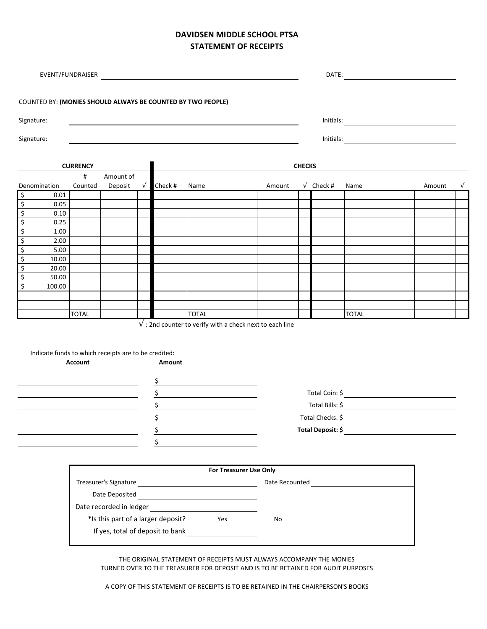## **DAVIDSEN MIDDLE SCHOOL PTSA STATEMENT OF RECEIPTS**

| COUNTED BY: (MONIES SHOULD ALWAYS BE COUNTED BY TWO PEOPLE)   |                 |                                                             |            |         |                                                                   |                                                                                                                                                                                                                                 |                                      |                              |              |        |            |  |
|---------------------------------------------------------------|-----------------|-------------------------------------------------------------|------------|---------|-------------------------------------------------------------------|---------------------------------------------------------------------------------------------------------------------------------------------------------------------------------------------------------------------------------|--------------------------------------|------------------------------|--------------|--------|------------|--|
| Signature:                                                    |                 |                                                             |            |         |                                                                   |                                                                                                                                                                                                                                 |                                      |                              |              |        |            |  |
| Signature:                                                    |                 |                                                             |            |         |                                                                   |                                                                                                                                                                                                                                 |                                      |                              |              |        |            |  |
|                                                               |                 |                                                             |            |         |                                                                   |                                                                                                                                                                                                                                 |                                      |                              |              |        |            |  |
|                                                               | <b>CURRENCY</b> |                                                             |            |         |                                                                   |                                                                                                                                                                                                                                 | <b>CHECKS</b>                        |                              |              |        |            |  |
|                                                               | #               | Amount of                                                   |            |         |                                                                   |                                                                                                                                                                                                                                 |                                      |                              |              |        |            |  |
| Denomination<br>\$<br>0.01                                    | Counted         | Deposit                                                     | $\sqrt{ }$ | Check # | Name                                                              | Amount                                                                                                                                                                                                                          |                                      | $\sqrt{\phantom{a}}$ Check # | Name         | Amount | $\sqrt{ }$ |  |
| \$<br>0.05                                                    |                 |                                                             |            |         |                                                                   |                                                                                                                                                                                                                                 |                                      |                              |              |        |            |  |
| \$<br>0.10                                                    |                 |                                                             |            |         |                                                                   |                                                                                                                                                                                                                                 |                                      |                              |              |        |            |  |
| $\overline{\mathcal{S}}$<br>0.25                              |                 |                                                             |            |         |                                                                   |                                                                                                                                                                                                                                 |                                      |                              |              |        |            |  |
| $\overline{\mathbf{S}}$<br>1.00                               |                 |                                                             |            |         |                                                                   |                                                                                                                                                                                                                                 |                                      |                              |              |        |            |  |
| $\overline{\xi}$<br>2.00                                      |                 |                                                             |            |         |                                                                   |                                                                                                                                                                                                                                 |                                      |                              |              |        |            |  |
| $\overline{\xi}$<br>5.00<br>$\overline{\mathcal{L}}$<br>10.00 |                 |                                                             |            |         |                                                                   |                                                                                                                                                                                                                                 |                                      |                              |              |        |            |  |
| \$<br>20.00                                                   |                 |                                                             |            |         |                                                                   |                                                                                                                                                                                                                                 |                                      |                              |              |        |            |  |
| \$<br>50.00                                                   |                 |                                                             |            |         |                                                                   |                                                                                                                                                                                                                                 |                                      |                              |              |        |            |  |
| \$<br>100.00                                                  |                 |                                                             |            |         |                                                                   |                                                                                                                                                                                                                                 |                                      |                              |              |        |            |  |
|                                                               |                 |                                                             |            |         |                                                                   |                                                                                                                                                                                                                                 |                                      |                              |              |        |            |  |
|                                                               | <b>TOTAL</b>    |                                                             |            |         | <b>TOTAL</b>                                                      |                                                                                                                                                                                                                                 |                                      |                              | <b>TOTAL</b> |        |            |  |
| Indicate funds to which receipts are to be credited:          | <b>Account</b>  |                                                             |            | Amount  | $\sqrt{ }$ : 2nd counter to verify with a check next to each line |                                                                                                                                                                                                                                 |                                      |                              |              |        |            |  |
|                                                               |                 | <u> 1989 - Johann Barbara, martxa al III-lea (h. 1989).</u> |            |         |                                                                   |                                                                                                                                                                                                                                 |                                      |                              |              |        |            |  |
| <u> 1980 - Johann Barbara, martin a</u>                       |                 |                                                             |            | $\sim$  |                                                                   | Total Coin: \$                                                                                                                                                                                                                  |                                      |                              |              |        |            |  |
|                                                               |                 |                                                             | \$         |         |                                                                   | Total Bills: \$ \etal \end{\sigma_{\sigma_{\sigma_{\sigma_{\sigma_{\sigma_{\sigma_{\sigma_{\sigma_{\sigma_{\sigma_{\sigma_{\sigma_{\sigma_{\sigma_{\sigma_{\sigma_{\sigma_{\sigma_{\sigma_{\sigma_{\sigma_{\sigma_{\sigma_{\sig |                                      |                              |              |        |            |  |
|                                                               |                 |                                                             | \$         |         |                                                                   | Total Checks: \$                                                                                                                                                                                                                |                                      |                              |              |        |            |  |
|                                                               |                 |                                                             | \$         |         |                                                                   | Total Deposit: \$                                                                                                                                                                                                               |                                      |                              |              |        |            |  |
|                                                               |                 |                                                             |            | \$      |                                                                   |                                                                                                                                                                                                                                 |                                      |                              |              |        |            |  |
|                                                               |                 |                                                             |            |         |                                                                   |                                                                                                                                                                                                                                 |                                      |                              |              |        |            |  |
|                                                               |                 |                                                             |            |         |                                                                   |                                                                                                                                                                                                                                 |                                      |                              |              |        |            |  |
|                                                               |                 |                                                             |            |         | For Treasurer Use Only                                            |                                                                                                                                                                                                                                 |                                      |                              |              |        |            |  |
|                                                               |                 |                                                             |            |         |                                                                   |                                                                                                                                                                                                                                 | Date Recounted <b>Date Recounted</b> |                              |              |        |            |  |
|                                                               |                 |                                                             |            |         |                                                                   |                                                                                                                                                                                                                                 |                                      |                              |              |        |            |  |
|                                                               |                 | Date recorded in ledger                                     |            |         | <u> 1980 - Andrea Andrew Maria (b. 1980)</u>                      |                                                                                                                                                                                                                                 |                                      |                              |              |        |            |  |
| *Is this part of a larger deposit?<br>Yes                     |                 |                                                             |            |         |                                                                   | No                                                                                                                                                                                                                              |                                      |                              |              |        |            |  |
|                                                               |                 |                                                             |            |         |                                                                   |                                                                                                                                                                                                                                 |                                      |                              |              |        |            |  |
|                                                               |                 |                                                             |            |         |                                                                   |                                                                                                                                                                                                                                 |                                      |                              |              |        |            |  |

THE ORIGINAL STATEMENT OF RECEIPTS MUST ALWAYS ACCOMPANY THE MONIES TURNED OVER TO THE TREASURER FOR DEPOSIT AND IS TO BE RETAINED FOR AUDIT PURPOSES

A COPY OF THIS STATEMENT OF RECEIPTS IS TO BE RETAINED IN THE CHAIRPERSON'S BOOKS